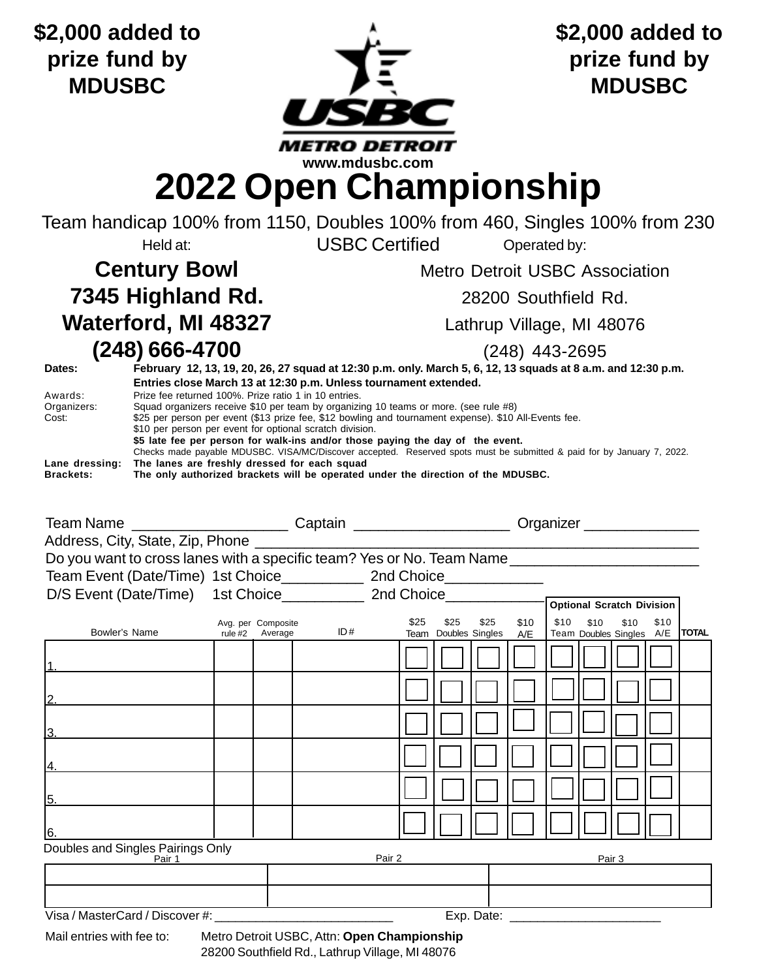**\$2,000 added to prize fund by MDUSBC**



**\$2,000 added to prize fund by MDUSBC**

## **2022 Open Championship**

Team handicap 100% from 1150, Doubles 100% from 460, Singles 100% from 230 Held at: **Call CONCOCERTIFIED** Contributed by:

## **7345 Highland Rd.** 28200 Southfield Rd. Waterford, MI 48327 Lathrup Village, MI 48076

**Century Bowl** Metro Detroit USBC Association

**(248) 666-4700** (248) 443-2695

| Dates:           | February 12, 13, 19, 20, 26, 27 squad at 12:30 p.m. only. March 5, 6, 12, 13 squads at 8 a.m. and 12:30 p.m.           |  |  |  |  |  |  |
|------------------|------------------------------------------------------------------------------------------------------------------------|--|--|--|--|--|--|
|                  | Entries close March 13 at 12:30 p.m. Unless tournament extended.                                                       |  |  |  |  |  |  |
| Awards:          | Prize fee returned 100%. Prize ratio 1 in 10 entries.                                                                  |  |  |  |  |  |  |
| Organizers:      | Squad organizers receive \$10 per team by organizing 10 teams or more. (see rule #8)                                   |  |  |  |  |  |  |
| Cost:            | \$25 per person per event (\$13 prize fee, \$12 bowling and tournament expense). \$10 All-Events fee.                  |  |  |  |  |  |  |
|                  | \$10 per person per event for optional scratch division.                                                               |  |  |  |  |  |  |
|                  | \$5 late fee per person for walk-ins and/or those paying the day of the event.                                         |  |  |  |  |  |  |
|                  | Checks made payable MDUSBC. VISA/MC/Discover accepted. Reserved spots must be submitted & paid for by January 7, 2022. |  |  |  |  |  |  |
| Lane dressing:   | The lanes are freshly dressed for each squad                                                                           |  |  |  |  |  |  |
| <b>Brackets:</b> | The only authorized brackets will be operated under the direction of the MDUSBC.                                       |  |  |  |  |  |  |
|                  |                                                                                                                        |  |  |  |  |  |  |

|                                                                             |                                       |     |      | Team Name ___________________________Captain _________________________Organizer ____________________ |              |  |                                                                                    |  |  |  |
|-----------------------------------------------------------------------------|---------------------------------------|-----|------|------------------------------------------------------------------------------------------------------|--------------|--|------------------------------------------------------------------------------------|--|--|--|
|                                                                             |                                       |     |      |                                                                                                      |              |  |                                                                                    |  |  |  |
|                                                                             |                                       |     |      |                                                                                                      |              |  |                                                                                    |  |  |  |
| Team Event (Date/Time) 1st Choice_______________ 2nd Choice________________ |                                       |     |      |                                                                                                      |              |  |                                                                                    |  |  |  |
|                                                                             |                                       |     |      |                                                                                                      |              |  |                                                                                    |  |  |  |
|                                                                             |                                       |     |      |                                                                                                      |              |  |                                                                                    |  |  |  |
| Bowler's Name                                                               | Avg. per Composite<br>rule #2 Average | ID# | \$25 | \$25                                                                                                 | \$10<br>\$25 |  | \$10 \$10 \$10 \$10<br>Team Doubles Singles A/E   Team Doubles Singles A/E   TOTAL |  |  |  |
|                                                                             |                                       |     |      |                                                                                                      |              |  |                                                                                    |  |  |  |
|                                                                             |                                       |     |      |                                                                                                      |              |  |                                                                                    |  |  |  |
| 13.                                                                         |                                       |     |      |                                                                                                      |              |  |                                                                                    |  |  |  |
| 14.                                                                         |                                       |     |      |                                                                                                      |              |  |                                                                                    |  |  |  |
| 5.                                                                          |                                       |     |      |                                                                                                      |              |  |                                                                                    |  |  |  |
| 16.                                                                         |                                       |     |      |                                                                                                      |              |  |                                                                                    |  |  |  |
| Doubles and Singles Pairings Only<br>Pair 1<br>Pair 2<br>Pair 3             |                                       |     |      |                                                                                                      |              |  |                                                                                    |  |  |  |
|                                                                             |                                       |     |      |                                                                                                      |              |  |                                                                                    |  |  |  |
|                                                                             |                                       |     |      |                                                                                                      |              |  |                                                                                    |  |  |  |

Visa / MasterCard / Discover #: \_\_\_\_\_\_\_\_\_\_\_\_\_\_\_\_\_\_\_\_\_\_\_\_\_\_ Exp. Date: \_\_\_\_\_\_\_\_\_\_\_\_\_\_\_\_\_\_\_\_\_\_

Mail entries with fee to: Metro Detroit USBC, Attn: **Open Championship** 28200 Southfield Rd., Lathrup Village, MI 48076